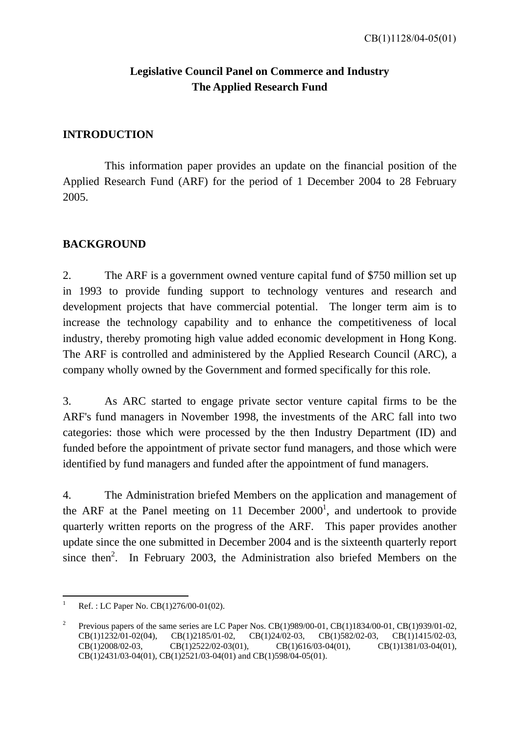### **Legislative Council Panel on Commerce and Industry The Applied Research Fund**

### **INTRODUCTION**

 This information paper provides an update on the financial position of the Applied Research Fund (ARF) for the period of 1 December 2004 to 28 February 2005.

### **BACKGROUND**

2. The ARF is a government owned venture capital fund of \$750 million set up in 1993 to provide funding support to technology ventures and research and development projects that have commercial potential. The longer term aim is to increase the technology capability and to enhance the competitiveness of local industry, thereby promoting high value added economic development in Hong Kong. The ARF is controlled and administered by the Applied Research Council (ARC), a company wholly owned by the Government and formed specifically for this role.

3. As ARC started to engage private sector venture capital firms to be the ARF's fund managers in November 1998, the investments of the ARC fall into two categories: those which were processed by the then Industry Department (ID) and funded before the appointment of private sector fund managers, and those which were identified by fund managers and funded after the appointment of fund managers.

4. The Administration briefed Members on the application and management of the ARF at the Panel meeting on 11 December  $2000<sup>1</sup>$ , and undertook to provide quarterly written reports on the progress of the ARF. This paper provides another update since the one submitted in December 2004 and is the sixteenth quarterly report since then<sup>2</sup>. In February 2003, the Administration also briefed Members on the

 $\frac{1}{1}$ Ref. : LC Paper No. CB(1)276/00-01(02).

<sup>2</sup> Previous papers of the same series are LC Paper Nos. CB(1)989/00-01, CB(1)1834/00-01, CB(1)939/01-02, CB(1)1232/01-02(04), CB(1)2185/01-02, CB(1)24/02-03, CB(1)582/02-03, CB(1)1415/02-03, CB(1)2008/02-03, CB(1)2522/02-03(01), CB(1)616/03-04(01), CB(1)1381/03-04(01), CB(1)2431/03-04(01), CB(1)2521/03-04(01) and CB(1)598/04-05(01).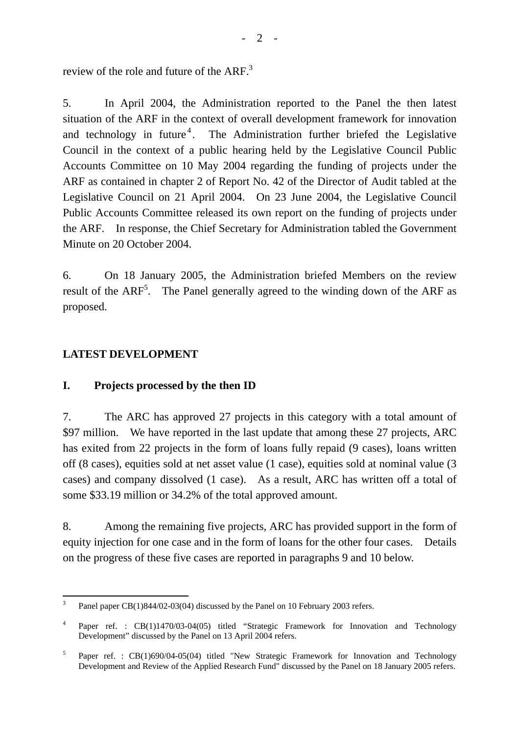review of the role and future of the  $ARF<sup>3</sup>$ 

5. In April 2004, the Administration reported to the Panel the then latest situation of the ARF in the context of overall development framework for innovation and technology in future<sup>4</sup>. The Administration further briefed the Legislative Council in the context of a public hearing held by the Legislative Council Public Accounts Committee on 10 May 2004 regarding the funding of projects under the ARF as contained in chapter 2 of Report No. 42 of the Director of Audit tabled at the Legislative Council on 21 April 2004. On 23 June 2004, the Legislative Council Public Accounts Committee released its own report on the funding of projects under the ARF. In response, the Chief Secretary for Administration tabled the Government Minute on 20 October 2004.

6. On 18 January 2005, the Administration briefed Members on the review result of the  $ARF<sup>5</sup>$ . The Panel generally agreed to the winding down of the ARF as proposed.

### **LATEST DEVELOPMENT**

### **I. Projects processed by the then ID**

7. The ARC has approved 27 projects in this category with a total amount of \$97 million. We have reported in the last update that among these 27 projects, ARC has exited from 22 projects in the form of loans fully repaid (9 cases), loans written off (8 cases), equities sold at net asset value (1 case), equities sold at nominal value (3 cases) and company dissolved (1 case). As a result, ARC has written off a total of some \$33.19 million or 34.2% of the total approved amount.

8. Among the remaining five projects, ARC has provided support in the form of equity injection for one case and in the form of loans for the other four cases. Details on the progress of these five cases are reported in paragraphs 9 and 10 below.

<sup>&</sup>lt;sup>2</sup><br>3 Panel paper CB(1)844/02-03(04) discussed by the Panel on 10 February 2003 refers.

<sup>4</sup> Paper ref. : CB(1)1470/03-04(05) titled "Strategic Framework for Innovation and Technology Development" discussed by the Panel on 13 April 2004 refers.

<sup>5</sup> Paper ref. : CB(1)690/04-05(04) titled "New Strategic Framework for Innovation and Technology Development and Review of the Applied Research Fund" discussed by the Panel on 18 January 2005 refers.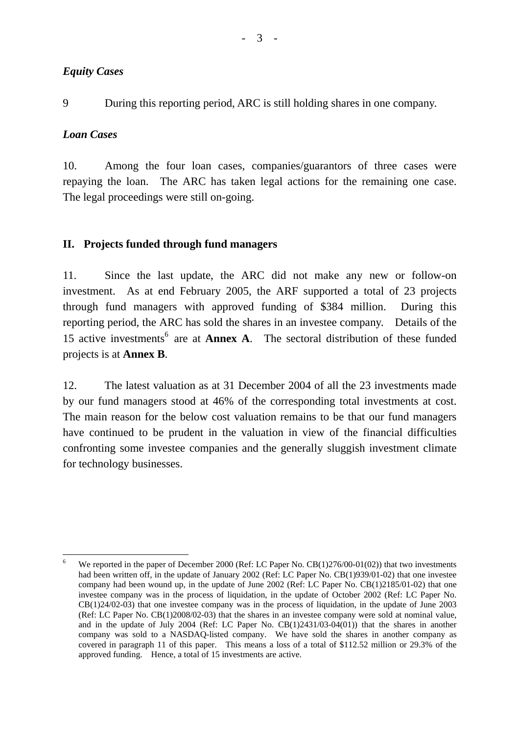9 During this reporting period, ARC is still holding shares in one company.

### *Loan Cases*

10. Among the four loan cases, companies/guarantors of three cases were repaying the loan. The ARC has taken legal actions for the remaining one case. The legal proceedings were still on-going.

### **II. Projects funded through fund managers**

11. Since the last update, the ARC did not make any new or follow-on investment. As at end February 2005, the ARF supported a total of 23 projects through fund managers with approved funding of \$384 million. During this reporting period, the ARC has sold the shares in an investee company. Details of the 15 active investments<sup>6</sup> are at **Annex A**. The sectoral distribution of these funded projects is at **Annex B**.

12. The latest valuation as at 31 December 2004 of all the 23 investments made by our fund managers stood at 46% of the corresponding total investments at cost. The main reason for the below cost valuation remains to be that our fund managers have continued to be prudent in the valuation in view of the financial difficulties confronting some investee companies and the generally sluggish investment climate for technology businesses.

 $\frac{1}{6}$ We reported in the paper of December 2000 (Ref: LC Paper No. CB(1)276/00-01(02)) that two investments had been written off, in the update of January 2002 (Ref: LC Paper No. CB(1)939/01-02) that one investee company had been wound up, in the update of June 2002 (Ref: LC Paper No. CB(1)2185/01-02) that one investee company was in the process of liquidation, in the update of October 2002 (Ref: LC Paper No. CB(1)24/02-03) that one investee company was in the process of liquidation, in the update of June 2003 (Ref: LC Paper No. CB(1)2008/02-03) that the shares in an investee company were sold at nominal value, and in the update of July 2004 (Ref: LC Paper No. CB(1)2431/03-04(01)) that the shares in another company was sold to a NASDAQ-listed company. We have sold the shares in another company as covered in paragraph 11 of this paper. This means a loss of a total of \$112.52 million or 29.3% of the approved funding. Hence, a total of 15 investments are active.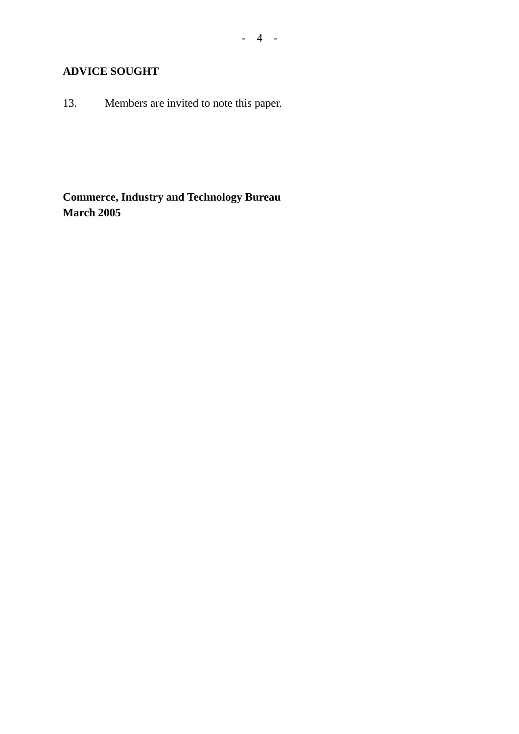### **ADVICE SOUGHT**

13. Members are invited to note this paper.

**Commerce, Industry and Technology Bureau March 2005**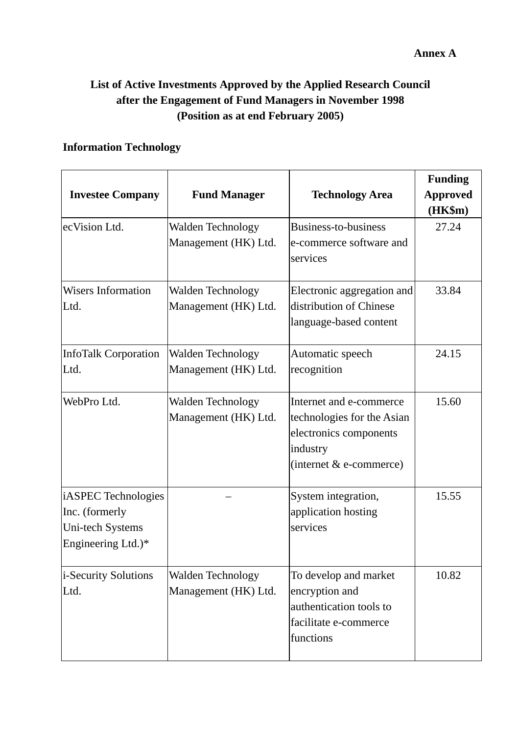#### **Annex A**

## **List of Active Investments Approved by the Applied Research Council after the Engagement of Fund Managers in November 1998 (Position as at end February 2005)**

### **Information Technology**

| <b>Investee Company</b>                                                         | <b>Fund Manager</b>                              | <b>Technology Area</b>                                                                                                   | <b>Funding</b><br><b>Approved</b><br>(HK\$m) |
|---------------------------------------------------------------------------------|--------------------------------------------------|--------------------------------------------------------------------------------------------------------------------------|----------------------------------------------|
| ecVision Ltd.                                                                   | Walden Technology<br>Management (HK) Ltd.        | Business-to-business<br>e-commerce software and<br>services                                                              | 27.24                                        |
| <b>Wisers Information</b><br>Ltd.                                               | Walden Technology<br>Management (HK) Ltd.        | Electronic aggregation and<br>distribution of Chinese<br>language-based content                                          | 33.84                                        |
| <b>InfoTalk Corporation</b><br>Ltd.                                             | Walden Technology<br>Management (HK) Ltd.        | Automatic speech<br>recognition                                                                                          | 24.15                                        |
| WebPro Ltd.                                                                     | <b>Walden Technology</b><br>Management (HK) Ltd. | Internet and e-commerce<br>technologies for the Asian<br>electronics components<br>industry<br>(internet $&$ e-commerce) | 15.60                                        |
| iASPEC Technologies<br>Inc. (formerly<br>Uni-tech Systems<br>Engineering Ltd.)* |                                                  | System integration,<br>application hosting<br>services                                                                   | 15.55                                        |
| <i>i</i> -Security Solutions<br>Ltd.                                            | <b>Walden Technology</b><br>Management (HK) Ltd. | To develop and market<br>encryption and<br>authentication tools to<br>facilitate e-commerce<br>functions                 | 10.82                                        |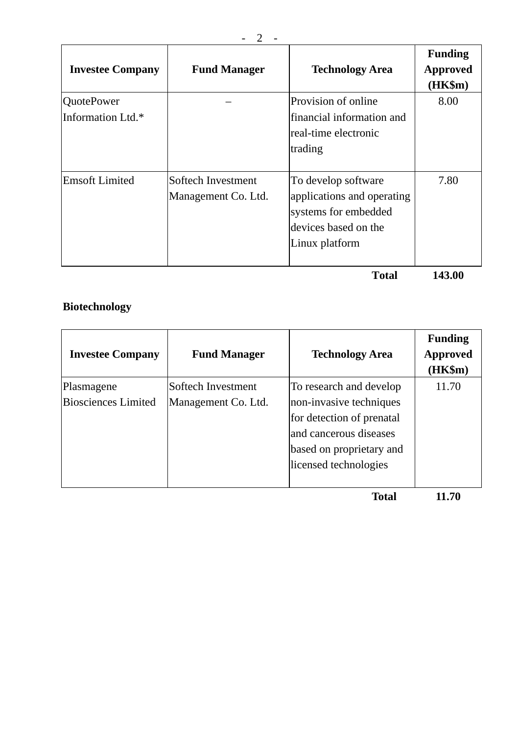| <b>Investee Company</b>                | <b>Fund Manager</b>                       | <b>Technology Area</b>                                                                                              | <b>Funding</b><br>Approved<br>$(HK\$ m $)$ |
|----------------------------------------|-------------------------------------------|---------------------------------------------------------------------------------------------------------------------|--------------------------------------------|
| <b>QuotePower</b><br>Information Ltd.* |                                           | Provision of online<br>financial information and<br>real-time electronic<br>trading                                 | 8.00                                       |
| <b>Emsoft Limited</b>                  | Softech Investment<br>Management Co. Ltd. | To develop software<br>applications and operating<br>systems for embedded<br>devices based on the<br>Linux platform | 7.80                                       |

 **Total 143.00** 

# **Biotechnology**

| <b>Investee Company</b>                  | <b>Fund Manager</b>                       | <b>Technology Area</b>                                                                                                                                         | <b>Funding</b><br><b>Approved</b><br>(HK\$m) |
|------------------------------------------|-------------------------------------------|----------------------------------------------------------------------------------------------------------------------------------------------------------------|----------------------------------------------|
| Plasmagene<br><b>Biosciences Limited</b> | Softech Investment<br>Management Co. Ltd. | To research and develop<br>non-invasive techniques<br>for detection of prenatal<br>and cancerous diseases<br>based on proprietary and<br>licensed technologies | 11.70                                        |
|                                          |                                           |                                                                                                                                                                |                                              |

**Total 11.70**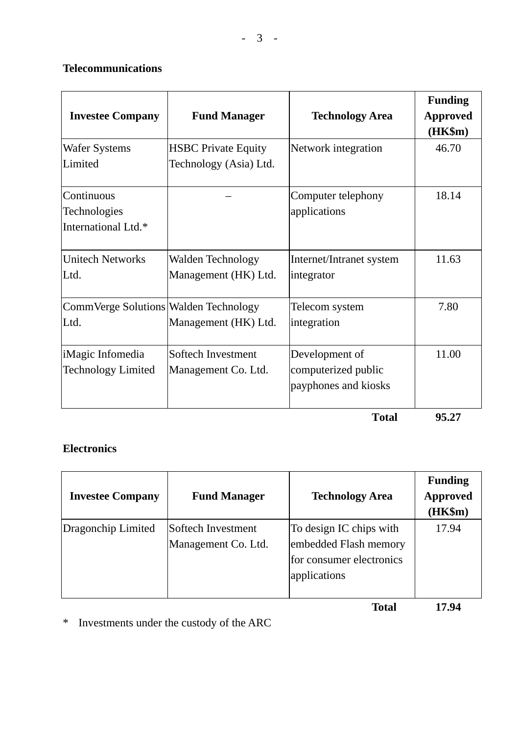### **Telecommunications**

| <b>Investee Company</b>                           | <b>Fund Manager</b>                                  | <b>Technology Area</b>                                        | <b>Funding</b><br><b>Approved</b><br>$(HK\$ m $)$ |
|---------------------------------------------------|------------------------------------------------------|---------------------------------------------------------------|---------------------------------------------------|
| Wafer Systems<br>Limited                          | <b>HSBC</b> Private Equity<br>Technology (Asia) Ltd. | Network integration                                           | 46.70                                             |
| Continuous<br>Technologies<br>International Ltd.* |                                                      | Computer telephony<br>applications                            | 18.14                                             |
| <b>Unitech Networks</b><br>Ltd.                   | Walden Technology<br>Management (HK) Ltd.            | Internet/Intranet system<br>integrator                        | 11.63                                             |
| CommVerge Solutions Walden Technology<br>Ltd.     | Management (HK) Ltd.                                 | Telecom system<br>integration                                 | 7.80                                              |
| iMagic Infomedia<br><b>Technology Limited</b>     | Softech Investment<br>Management Co. Ltd.            | Development of<br>computerized public<br>payphones and kiosks | 11.00                                             |

 **Total 95.27** 

### **Electronics**

| <b>Investee Company</b> | <b>Fund Manager</b>                       | <b>Technology Area</b>                                                                       | <b>Funding</b><br><b>Approved</b><br>(HK\$m) |
|-------------------------|-------------------------------------------|----------------------------------------------------------------------------------------------|----------------------------------------------|
| Dragonchip Limited      | Softech Investment<br>Management Co. Ltd. | To design IC chips with<br>embedded Flash memory<br>for consumer electronics<br>applications | 17.94                                        |

**Total 17.94** 

\* Investments under the custody of the ARC